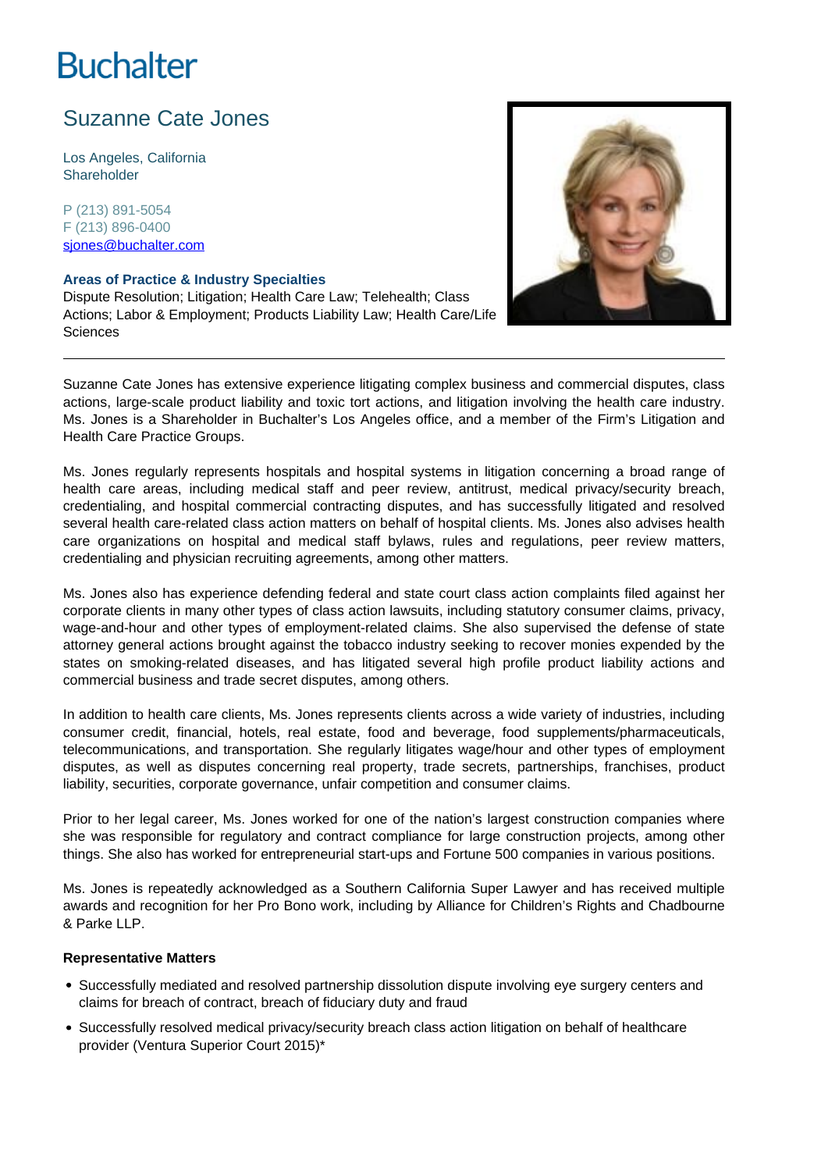# **Buchalter**

## Suzanne Cate Jones

Los Angeles, California **Shareholder** 

P (213) 891-5054 F (213) 896-0400 sjones@buchalter.com

#### **Areas of Practice & Industry Specialties**

Dispute Resolution; Litigation; Health Care Law; Telehealth; Class Actions; Labor & Employment; Products Liability Law; Health Care/Life Sciences



Suzanne Cate Jones has extensive experience litigating complex business and commercial disputes, class actions, large-scale product liability and toxic tort actions, and litigation involving the health care industry. Ms. Jones is a Shareholder in Buchalter's Los Angeles office, and a member of the Firm's Litigation and Health Care Practice Groups.

Ms. Jones regularly represents hospitals and hospital systems in litigation concerning a broad range of health care areas, including medical staff and peer review, antitrust, medical privacy/security breach, credentialing, and hospital commercial contracting disputes, and has successfully litigated and resolved several health care-related class action matters on behalf of hospital clients. Ms. Jones also advises health care organizations on hospital and medical staff bylaws, rules and regulations, peer review matters, credentialing and physician recruiting agreements, among other matters.

Ms. Jones also has experience defending federal and state court class action complaints filed against her corporate clients in many other types of class action lawsuits, including statutory consumer claims, privacy, wage-and-hour and other types of employment-related claims. She also supervised the defense of state attorney general actions brought against the tobacco industry seeking to recover monies expended by the states on smoking-related diseases, and has litigated several high profile product liability actions and commercial business and trade secret disputes, among others.

In addition to health care clients, Ms. Jones represents clients across a wide variety of industries, including consumer credit, financial, hotels, real estate, food and beverage, food supplements/pharmaceuticals, telecommunications, and transportation. She regularly litigates wage/hour and other types of employment disputes, as well as disputes concerning real property, trade secrets, partnerships, franchises, product liability, securities, corporate governance, unfair competition and consumer claims.

Prior to her legal career, Ms. Jones worked for one of the nation's largest construction companies where she was responsible for regulatory and contract compliance for large construction projects, among other things. She also has worked for entrepreneurial start-ups and Fortune 500 companies in various positions.

Ms. Jones is repeatedly acknowledged as a Southern California Super Lawyer and has received multiple awards and recognition for her Pro Bono work, including by Alliance for Children's Rights and Chadbourne & Parke LLP.

### **Representative Matters**

- Successfully mediated and resolved partnership dissolution dispute involving eve surgery centers and claims for breach of contract, breach of fiduciary duty and fraud
- Successfully resolved medical privacy/security breach class action litigation on behalf of healthcare provider (Ventura Superior Court 2015)\*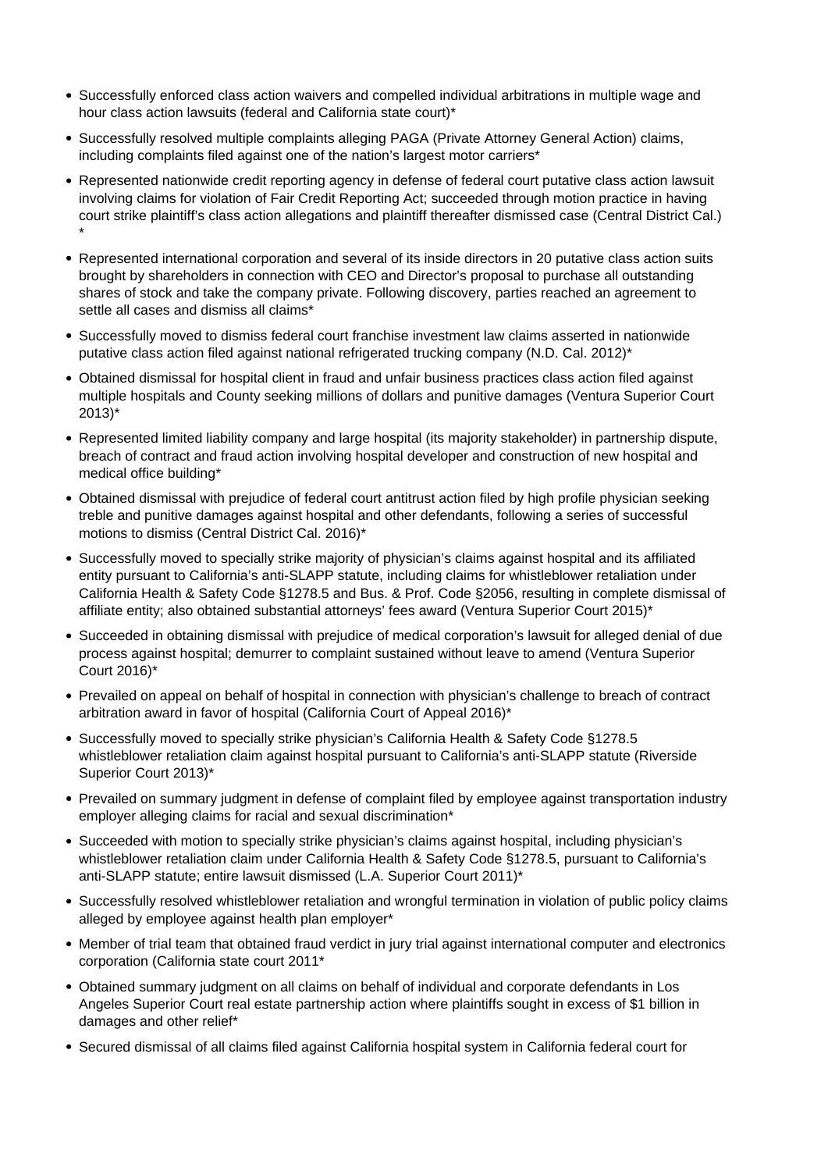- Successfully enforced class action waivers and compelled individual arbitrations in multiple wage and hour class action lawsuits (federal and California state court)\*
- Successfully resolved multiple complaints alleging PAGA (Private Attorney General Action) claims, including complaints filed against one of the nation's largest motor carriers\*
- Represented nationwide credit reporting agency in defense of federal court putative class action lawsuit involving claims for violation of Fair Credit Reporting Act; succeeded through motion practice in having court strike plaintiff's class action allegations and plaintiff thereafter dismissed case (Central District Cal.) \*
- Represented international corporation and several of its inside directors in 20 putative class action suits brought by shareholders in connection with CEO and Director's proposal to purchase all outstanding shares of stock and take the company private. Following discovery, parties reached an agreement to settle all cases and dismiss all claims\*
- Successfully moved to dismiss federal court franchise investment law claims asserted in nationwide putative class action filed against national refrigerated trucking company (N.D. Cal. 2012)\*
- Obtained dismissal for hospital client in fraud and unfair business practices class action filed against multiple hospitals and County seeking millions of dollars and punitive damages (Ventura Superior Court 2013)\*
- Represented limited liability company and large hospital (its majority stakeholder) in partnership dispute, breach of contract and fraud action involving hospital developer and construction of new hospital and medical office building\*
- Obtained dismissal with prejudice of federal court antitrust action filed by high profile physician seeking treble and punitive damages against hospital and other defendants, following a series of successful motions to dismiss (Central District Cal. 2016)\*
- Successfully moved to specially strike majority of physician's claims against hospital and its affiliated entity pursuant to California's anti-SLAPP statute, including claims for whistleblower retaliation under California Health & Safety Code §1278.5 and Bus. & Prof. Code §2056, resulting in complete dismissal of affiliate entity; also obtained substantial attorneys' fees award (Ventura Superior Court 2015)\*
- Succeeded in obtaining dismissal with prejudice of medical corporation's lawsuit for alleged denial of due process against hospital; demurrer to complaint sustained without leave to amend (Ventura Superior Court 2016)\*
- Prevailed on appeal on behalf of hospital in connection with physician's challenge to breach of contract arbitration award in favor of hospital (California Court of Appeal 2016)\*
- Successfully moved to specially strike physician's California Health & Safety Code §1278.5 whistleblower retaliation claim against hospital pursuant to California's anti-SLAPP statute (Riverside Superior Court 2013)\*
- Prevailed on summary judgment in defense of complaint filed by employee against transportation industry employer alleging claims for racial and sexual discrimination\*
- Succeeded with motion to specially strike physician's claims against hospital, including physician's whistleblower retaliation claim under California Health & Safety Code §1278.5, pursuant to California's anti-SLAPP statute; entire lawsuit dismissed (L.A. Superior Court 2011)\*
- Successfully resolved whistleblower retaliation and wrongful termination in violation of public policy claims alleged by employee against health plan employer\*
- Member of trial team that obtained fraud verdict in jury trial against international computer and electronics corporation (California state court 2011\*
- Obtained summary judgment on all claims on behalf of individual and corporate defendants in Los Angeles Superior Court real estate partnership action where plaintiffs sought in excess of \$1 billion in damages and other relief\*
- Secured dismissal of all claims filed against California hospital system in California federal court for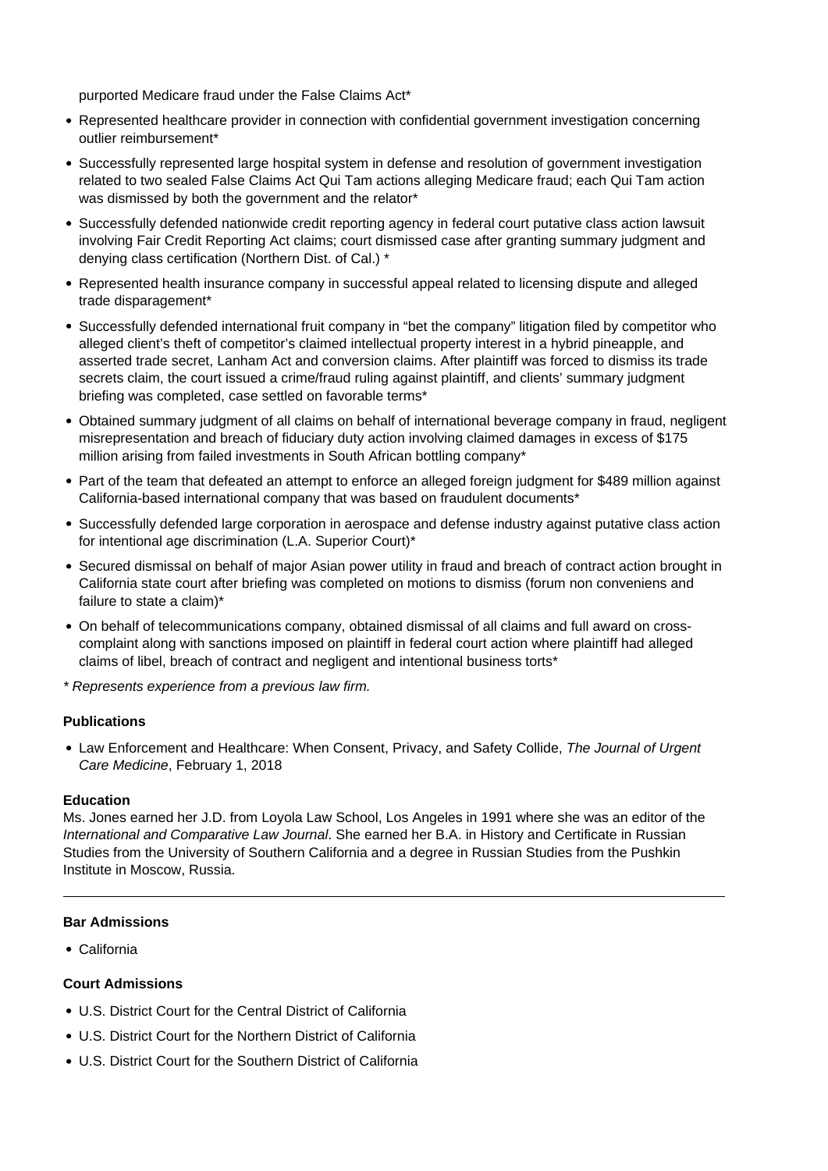purported Medicare fraud under the False Claims Act\*

- Represented healthcare provider in connection with confidential government investigation concerning outlier reimbursement\*
- Successfully represented large hospital system in defense and resolution of government investigation related to two sealed False Claims Act Qui Tam actions alleging Medicare fraud; each Qui Tam action was dismissed by both the government and the relator\*
- Successfully defended nationwide credit reporting agency in federal court putative class action lawsuit involving Fair Credit Reporting Act claims; court dismissed case after granting summary judgment and denying class certification (Northern Dist. of Cal.) \*
- Represented health insurance company in successful appeal related to licensing dispute and alleged trade disparagement\*
- Successfully defended international fruit company in "bet the company" litigation filed by competitor who alleged client's theft of competitor's claimed intellectual property interest in a hybrid pineapple, and asserted trade secret, Lanham Act and conversion claims. After plaintiff was forced to dismiss its trade secrets claim, the court issued a crime/fraud ruling against plaintiff, and clients' summary judgment briefing was completed, case settled on favorable terms\*
- Obtained summary judgment of all claims on behalf of international beverage company in fraud, negligent misrepresentation and breach of fiduciary duty action involving claimed damages in excess of \$175 million arising from failed investments in South African bottling company\*
- Part of the team that defeated an attempt to enforce an alleged foreign judgment for \$489 million against California-based international company that was based on fraudulent documents\*
- Successfully defended large corporation in aerospace and defense industry against putative class action for intentional age discrimination (L.A. Superior Court)\*
- Secured dismissal on behalf of major Asian power utility in fraud and breach of contract action brought in California state court after briefing was completed on motions to dismiss (forum non conveniens and failure to state a claim)\*
- On behalf of telecommunications company, obtained dismissal of all claims and full award on crosscomplaint along with sanctions imposed on plaintiff in federal court action where plaintiff had alleged claims of libel, breach of contract and negligent and intentional business torts\*

\* Represents experience from a previous law firm.

### **Publications**

Law Enforcement and Healthcare: When Consent, Privacy, and Safety Collide, The Journal of Urgent Care Medicine, February 1, 2018

#### **Education**

Ms. Jones earned her J.D. from Loyola Law School, Los Angeles in 1991 where she was an editor of the International and Comparative Law Journal. She earned her B.A. in History and Certificate in Russian Studies from the University of Southern California and a degree in Russian Studies from the Pushkin Institute in Moscow, Russia.

#### **Bar Admissions**

California

### **Court Admissions**

- U.S. District Court for the Central District of California
- U.S. District Court for the Northern District of California
- U.S. District Court for the Southern District of California